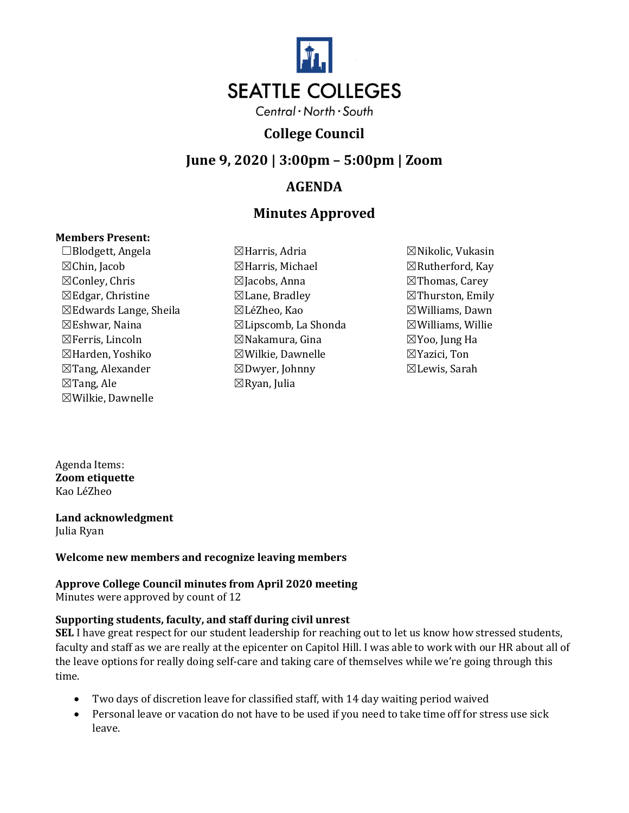

## **College Council**

## **June 9, 2020 | 3:00pm – 5:00pm | Zoom**

## **AGENDA**

# **Minutes Approved**

#### **Members Present:**

☐Blodgett, Angela ☒Harris, Adria ☒Nikolic, Vukasin  $\boxtimes$ Chin, Jacob  $\boxtimes$ Harris, Michael  $\boxtimes$ Rutherford, Kay ☒Conley, Chris ☒Jacobs, Anna ☒Thomas, Carey  $\boxtimes$ Edgar, Christine  $\boxtimes$ Lane, Bradley  $\boxtimes$ Thurston, Emily ☒Edwards Lange, Sheila ☒LéZheo, Kao ☒Williams, Dawn  $\boxtimes$ Eshwar, Naina  $\boxtimes$ Lipscomb, La Shonda  $\boxtimes$ Williams, Willie ☒Ferris, Lincoln ☒Nakamura, Gina ☒Yoo, Jung Ha ☒Harden, Yoshiko ☒Wilkie, Dawnelle ☒Yazici, Ton ☒Tang, Alexander ☒Tang, Ale ☒Wilkie, Dawnelle

- ☒Dwyer, Johnny ☒Ryan, Julia
- ☒Lewis, Sarah

Agenda Items: **Zoom etiquette** Kao LéZheo

**Land acknowledgment**  Julia Ryan

## **Welcome new members and recognize leaving members**

#### **Approve College Council minutes from April 2020 meeting** Minutes were approved by count of 12

## **Supporting students, faculty, and staff during civil unrest**

**SEL** I have great respect for our student leadership for reaching out to let us know how stressed students, faculty and staff as we are really at the epicenter on Capitol Hill. I was able to work with our HR about all of the leave options for really doing self-care and taking care of themselves while we're going through this time.

- Two days of discretion leave for classified staff, with 14 day waiting period waived
- Personal leave or vacation do not have to be used if you need to take time off for stress use sick leave.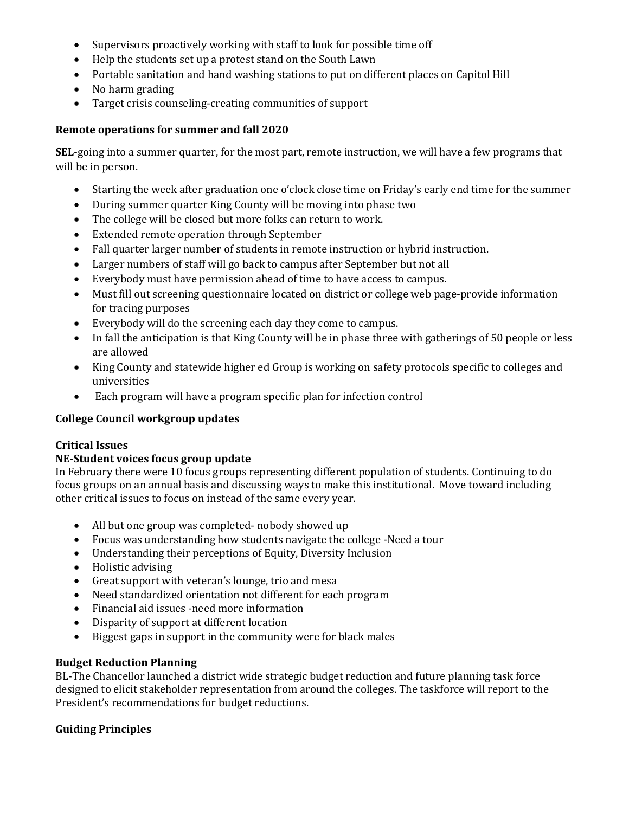- Supervisors proactively working with staff to look for possible time off
- Help the students set up a protest stand on the South Lawn
- Portable sanitation and hand washing stations to put on different places on Capitol Hill
- No harm grading
- Target crisis counseling-creating communities of support

#### **Remote operations for summer and fall 2020**

**SEL**-going into a summer quarter, for the most part, remote instruction, we will have a few programs that will be in person.

- Starting the week after graduation one o'clock close time on Friday's early end time for the summer
- During summer quarter King County will be moving into phase two
- The college will be closed but more folks can return to work.
- Extended remote operation through September
- Fall quarter larger number of students in remote instruction or hybrid instruction.
- Larger numbers of staff will go back to campus after September but not all
- Everybody must have permission ahead of time to have access to campus.
- Must fill out screening questionnaire located on district or college web page-provide information for tracing purposes
- Everybody will do the screening each day they come to campus.
- In fall the anticipation is that King County will be in phase three with gatherings of 50 people or less are allowed
- King County and statewide higher ed Group is working on safety protocols specific to colleges and universities
- Each program will have a program specific plan for infection control

## **College Council workgroup updates**

#### **Critical Issues**

## **NE-Student voices focus group update**

In February there were 10 focus groups representing different population of students. Continuing to do focus groups on an annual basis and discussing ways to make this institutional. Move toward including other critical issues to focus on instead of the same every year.

- All but one group was completed- nobody showed up
- Focus was understanding how students navigate the college -Need a tour
- Understanding their perceptions of Equity, Diversity Inclusion
- Holistic advising
- Great support with veteran's lounge, trio and mesa
- Need standardized orientation not different for each program
- Financial aid issues -need more information
- Disparity of support at different location
- Biggest gaps in support in the community were for black males

#### **Budget Reduction Planning**

BL-The Chancellor launched a district wide strategic budget reduction and future planning task force designed to elicit stakeholder representation from around the colleges. The taskforce will report to the President's recommendations for budget reductions.

## **Guiding Principles**